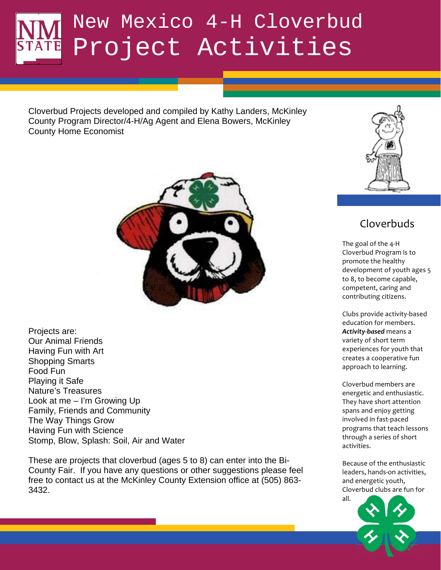Cloverbud Projects developed and compiled by Kathy Landers, McKinley County Program Director/4-H/Ag Agent and Elena Bowers, McKinley County Home Economist



Projects are: Our Animal Friends Having Fun with Art Shopping Smarts Food Fun Playing it Safe Nature's Treasures Look at me – I'm Growing Up Family, Friends and Community The Way Things Grow Having Fun with Science Stomp, Blow, Splash: Soil, Air and Water

These are projects that cloverbud (ages 5 to 8) can enter into the Bi-County Fair. If you have any questions or other suggestions please feel free to contact us at the McKinley County Extension office at (505) 863- 3432.



## Cloverbuds

The goal of the 4-H Cloverbud Program is to promote the healthy development of youth ages 5 to 8, to become capable, competent, caring and contributing citizens.

Clubs provide activity-based education for members. **Activity-based** means a variety of short term experiences for youth that creates a cooperative fun approach to learning.

Cloverbud members are energetic and enthusiastic. They have short attention spans and enjoy getting involved in fast-paced programs that teach lessons through a series of short activities.

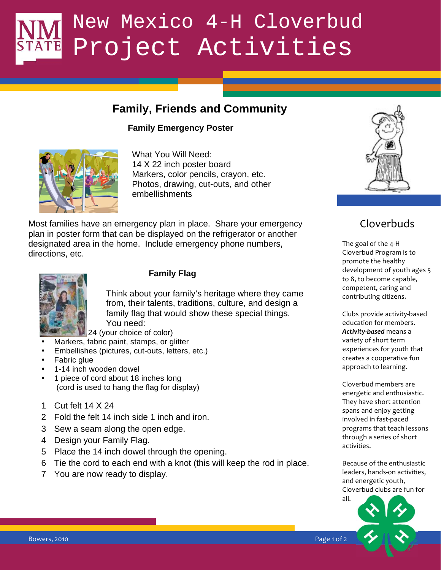## **Family, Friends and Community**

#### **Family Emergency Poster**



What You Will Need: 14 X 22 inch poster board Markers, color pencils, crayon, etc. Photos, drawing, cut-outs, and other embellishments

Most families have an emergency plan in place. Share your emergency plan in poster form that can be displayed on the refrigerator or another designated area in the home. Include emergency phone numbers, directions, etc.



#### **Family Flag**

Think about your family's heritage where they came from, their talents, traditions, culture, and design a family flag that would show these special things. You need:

24 (your choice of color)

- Markers, fabric paint, stamps, or glitter
- Embellishes (pictures, cut-outs, letters, etc.)
- Fabric glue
- 1-14 inch wooden dowel
- 1 piece of cord about 18 inches long (cord is used to hang the flag for display)
- 1 Cut felt 14 X 24
- 2 Fold the felt 14 inch side 1 inch and iron.
- 3 Sew a seam along the open edge.
- 4 Design your Family Flag.
- 5 Place the 14 inch dowel through the opening.
- 6 Tie the cord to each end with a knot (this will keep the rod in place.
- 7 You are now ready to display.

## Cloverbuds

 $\mathcal{L}$  becomes the set of  $\mathcal{L}$ The goal of the 4-H Cloverbud Program is to promote the healthy development of youth ages 5 to 8, to become capable, competent, caring and contributing citizens.

> Clubs provide activity-based education for members. **Activity-based** means a variety of short term experiences for youth that creates a cooperative fun approach to learning.

Cloverbud members are energetic and enthusiastic. They have short attention spans and enjoy getting involved in fast-paced programs that teach lessons through a series of short activities.

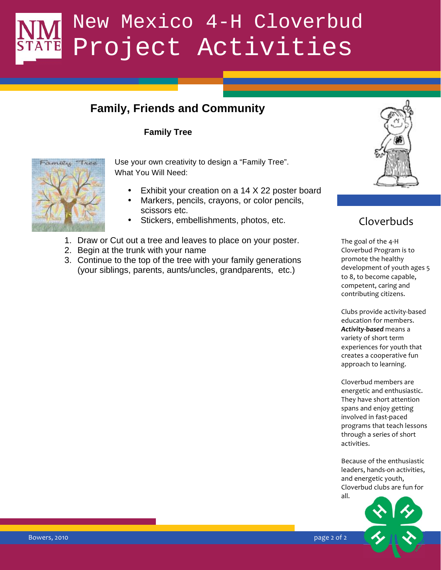### **Family, Friends and Community**

#### **Family Tree**



Use your own creativity to design a "Family Tree". What You Will Need:

- Exhibit your creation on a 14 X 22 poster board
- Markers, pencils, crayons, or color pencils, scissors etc.
- Stickers, embellishments, photos, etc.
- 1. Draw or Cut out a tree and leaves to place on your poster.
- 2. Begin at the trunk with your name
- 3. Continue to the top of the tree with your family generations (your siblings, parents, aunts/uncles, grandparents, etc.)



## Cloverbuds

 $\mathsf{compact}$ The goal of the 4-H Cloverbud Program is to promote the healthy development of youth ages 5 to 8, to become capable, competent, caring and contributing citizens.

> Clubs provide activity-based education for members. **Activity-based** means a variety of short term experiences for youth that creates a cooperative fun approach to learning.

Cloverbud members are energetic and enthusiastic. They have short attention spans and enjoy getting involved in fast-paced programs that teach lessons through a series of short activities.

Because of the enthusiastic leaders, hands-on activities, and energetic youth, Cloverbud clubs are fun for all.



page 2 of 2

Bowers, 2010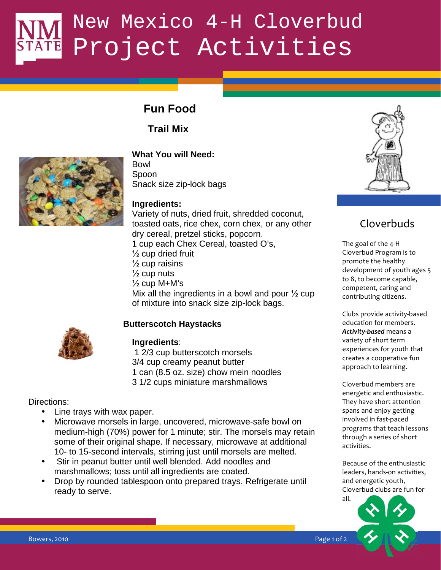## **Fun Food**

**Trail Mix** 



**What You will Need:**  Bowl Spoon

Snack size zip-lock bags

#### **Ingredients:**

 $\frac{1}{2}$  cup M+M's Variety of nuts, dried fruit, shredded coconut, toasted oats, rice chex, corn chex, or any other dry cereal, pretzel sticks, popcorn. 1 cup each Chex Cereal, toasted O's,  $\frac{1}{2}$  cup dried fruit  $\frac{1}{2}$  cup raisins  $\frac{1}{2}$  cup nuts Mix all the ingredients in a bowl and pour  $\frac{1}{2}$  cup of mixture into snack size zip-lock bags.

#### **Butterscotch Haystacks**



#### **Ingredients**:

 1 2/3 cup butterscotch morsels 3/4 cup creamy peanut butter 1 can (8.5 oz. size) chow mein noodles 3 1/2 cups miniature marshmallows

Directions:

- Line trays with wax paper.
- Microwave morsels in large, uncovered, microwave-safe bowl on medium-high (70%) power for 1 minute; stir. The morsels may retain some of their original shape. If necessary, microwave at additional 10- to 15-second intervals, stirring just until morsels are melted.
- Stir in peanut butter until well blended. Add noodles and marshmallows; toss until all ingredients are coated.
- Drop by rounded tablespoon onto prepared trays. Refrigerate until ready to serve.



## Cloverbuds

The goal of the 4-H Cloverbud Program is to promote the healthy development of youth ages 5 to 8, to become capable, competent, caring and contributing citizens.

Clubs provide activity-based education for members. **Activity-based** means a variety of short term experiences for youth that creates a cooperative fun approach to learning.

Cloverbud members are energetic and enthusiastic. They have short attention spans and enjoy getting involved in fast-paced programs that teach lessons through a series of short activities.

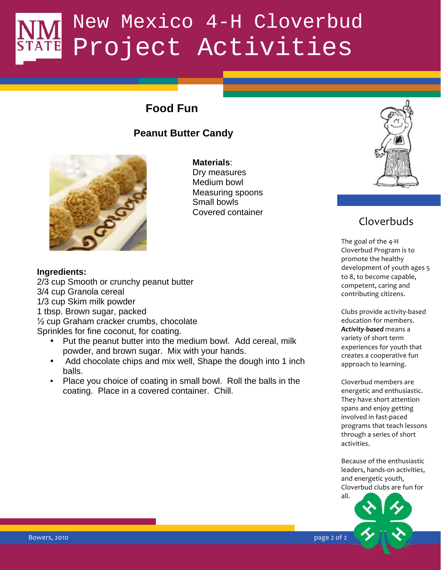## **Food Fun**

### **Peanut Butter Candy**



**Materials**: Dry measures Medium bowl Measuring spoons Small bowls Covered container



### Cloverbuds

The goal of the 4-H Cloverbud Program is to promote the healthy development of youth ages 5 to 8, to become capable, competent, caring and contributing citizens.

Clubs provide activity-based education for members. **Activity-based** means a variety of short term experiences for youth that creates a cooperative fun approach to learning.

Cloverbud members are energetic and enthusiastic. They have short attention spans and enjoy getting involved in fast-paced programs that teach lessons through a series of short activities.

Because of the enthusiastic leaders, hands-on activities, and energetic youth, Cloverbud clubs are fun for



#### **Ingredients:**

2/3 cup Smooth or crunchy peanut butter method on the connectent. 3/4 cup Granola cereal 1/3 cup Skim milk powder 1 tbsp. Brown sugar, packed  $\frac{1}{2}$  cup Graham cracker crumbs, chocolate Sprinkles for fine coconut, for coating.

- Put the peanut butter into the medium bowl. Add cereal, milk powder, and brown sugar. Mix with your hands.
- Add chocolate chips and mix well, Shape the dough into 1 inch balls.
- Place you choice of coating in small bowl. Roll the balls in the coating. Place in a covered container. Chill.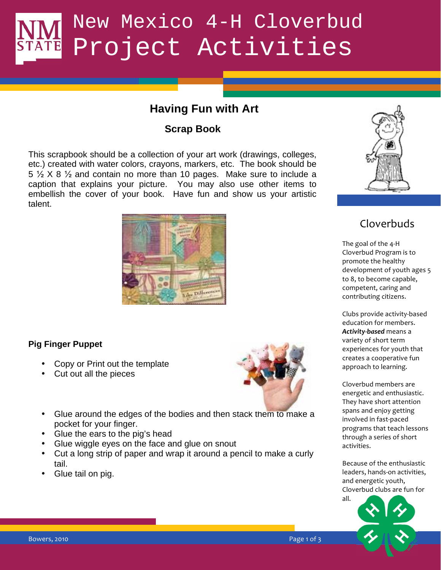### **Having Fun with Art**

### **Scrap Book**

This scrapbook should be a collection of your art work (drawings, colleges, etc.) created with water colors, crayons, markers, etc. The book should be  $5 \frac{1}{2}$  X 8  $\frac{1}{2}$  and contain no more than 10 pages. Make sure to include a caption that explains your picture. You may also use other items to embellish the cover of your book. Have fun and show us your artistic talent.



#### **Pig Finger Puppet**

- Copy or Print out the template
- Cut out all the pieces



- Glue around the edges of the bodies and then stack them to make a pocket for your finger.
- Glue the ears to the pig's head
- Glue wiggle eyes on the face and glue on snout
- Cut a long strip of paper and wrap it around a pencil to make a curly tail.
- Glue tail on pig.



## Cloverbuds

The goal of the 4-H Cloverbud Program is to promote the healthy development of youth ages 5 to 8, to become capable, competent, caring and contributing citizens.

Clubs provide activity-based education for members. **Activity-based** means a variety of short term experiences for youth that creates a cooperative fun approach to learning.

Cloverbud members are energetic and enthusiastic. They have short attention spans and enjoy getting involved in fast-paced programs that teach lessons through a series of short activities.

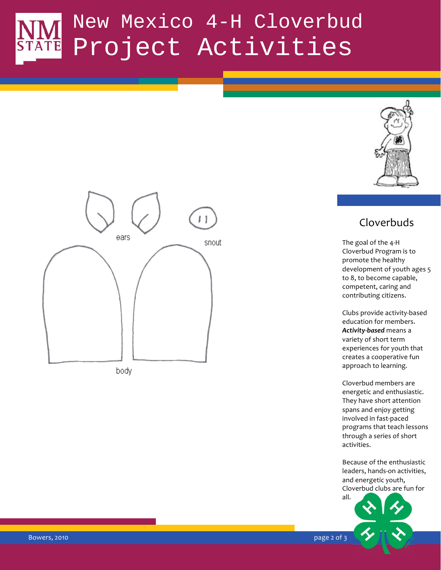



body

### Cloverbuds

The goal of the 4-H Cloverbud Program is to promote the healthy development of youth ages 5 to 8, to become capable, competent, caring and contributing citizens.

Clubs provide activity-based education for members. Activity-based means a variety of short term experiences for youth that creates a cooperative fun approach to learning.

Cloverbud members are energetic and enthusiastic. They have short attention spans and enjoy getting involved in fast-paced programs that teach lessons through a series of short activities.

Because of the enthusiastic leaders, hands-on activities, and energetic youth, Cloverbud clubs are fun for



**Bowers, 2010**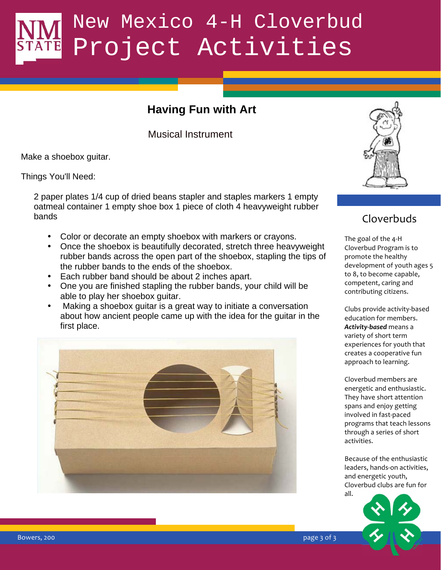## **Having Fun with Art**

Musical Instrument

Make a shoebox guitar.

Things You'll Need:

2 paper plates 1/4 cup of dried beans stapler and staples markers 1 empty oatmeal container 1 empty shoe box 1 piece of cloth 4 heavyweight rubber bands

- Color or decorate an empty shoebox with markers or crayons.
- Once the shoebox is beautifully decorated, stretch three heavyweight rubber bands across the open part of the shoebox, stapling the tips of the rubber bands to the ends of the shoebox.
- Each rubber band should be about 2 inches apart.
- One you are finished stapling the rubber bands, your child will be  $\overline{\text{competent}}$ able to play her shoebox guitar.
- Making a shoebox guitar is a great way to initiate a conversation about how ancient people came up with the idea for the guitar in the first place.





## Cloverbuds

The goal of the 4-H Cloverbud Program is to promote the healthy development of youth ages 5 to 8, to become capable, competent, caring and contributing citizens.

Clubs provide activity-based education for members. **Activity-based** means a variety of short term experiences for youth that creates a cooperative fun approach to learning.

Cloverbud members are energetic and enthusiastic. They have short attention spans and enjoy getting involved in fast-paced programs that teach lessons through a series of short activities.

Because of the enthusiastic leaders, hands-on activities, and energetic youth, Cloverbud clubs are fun for all.



page  $3$  of  $3$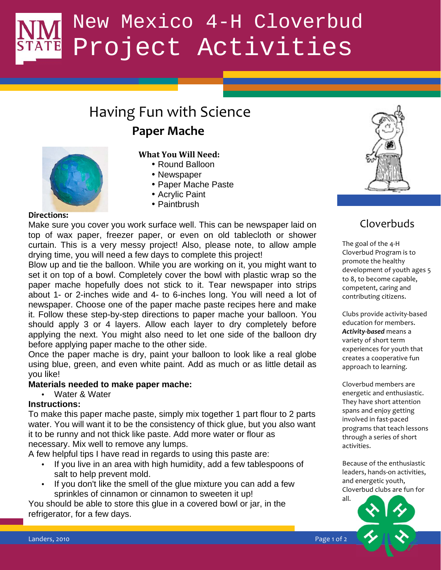## Having Fun with Science

## **Paper Mache**



#### What You Will Need:

- Round Balloon
- Newspaper
- Paper Mache Paste
- Acrylic Paint
- Paintbrush

#### Directions:

Make sure you cover you work surface well. This can be newspaper laid on top of wax paper, freezer paper, or even on old tablecloth or shower curtain. This is a very messy project! Also, please note, to allow ample drying time, you will need a few days to complete this project!

Blow up and tie the balloon. While you are working on it, you might want to set it on top of a bowl. Completely cover the bowl with plastic wrap so the paper mache hopefully does not stick to it. Tear newspaper into strips about 1- or 2-inches wide and 4- to 6-inches long. You will need a lot of newspaper. Choose one of the paper mache paste recipes here and make it. Follow these step-by-step directions to paper mache your balloon. You should apply 3 or 4 layers. Allow each layer to dry completely before applying the next. You might also need to let one side of the balloon dry before applying paper mache to the other side.

Once the paper mache is dry, paint your balloon to look like a real globe using blue, green, and even white paint. Add as much or as little detail as you like!

#### **Materials needed to make paper mache:**

• Water & Water

#### **Instructions:**

To make this paper mache paste, simply mix together 1 part flour to 2 parts water. You will want it to be the consistency of thick glue, but you also want it to be runny and not thick like paste. Add more water or flour as necessary. Mix well to remove any lumps.

A few helpful tips I have read in regards to using this paste are:

- If you live in an area with high humidity, add a few tablespoons of salt to help prevent mold.
- If you don't like the smell of the glue mixture you can add a few sprinkles of cinnamon or cinnamon to sweeten it up!

You should be able to store this glue in a covered bowl or jar, in the refrigerator, for a few days.



### Cloverbuds

The goal of the 4-H Cloverbud Program is to promote the healthy development of youth ages 5 to 8, to become capable, competent, caring and contributing citizens.

Clubs provide activity-based education for members. **Activity-based** means a variety of short term experiences for youth that creates a cooperative fun approach to learning.

Cloverbud members are energetic and enthusiastic. They have short attention spans and enjoy getting involved in fast-paced programs that teach lessons through a series of short activities.

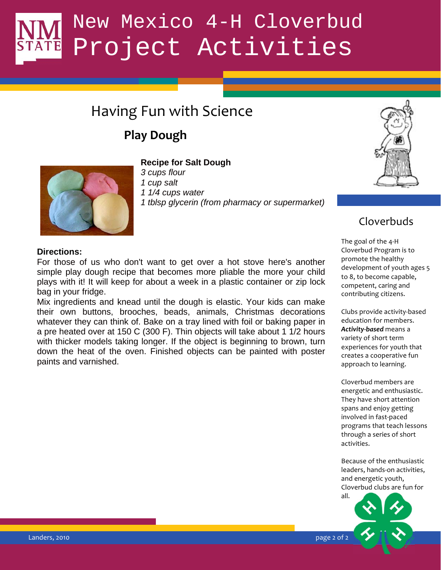## Having Fun with Science

## **Play Dough**



#### **Recipe for Salt Dough**

- *3 cups flour*
- *1 cup salt*
- *1 1/4 cups water*
- *1 tblsp glycerin (from pharmacy or supermarket)*



### Cloverbuds

**Directions:** 

For those of us who don't want to get over a hot stove here's another simple play dough recipe that becomes more pliable the more your child plays with it! It will keep for about a week in a plastic container or zip lock bag in your fridge.

Mix ingredients and knead until the dough is elastic. Your kids can make their own buttons, brooches, beads, animals, Christmas decorations whatever they can think of. Bake on a tray lined with foil or baking paper in a pre heated over at 150 C (300 F). Thin objects will take about 1 1/2 hours with thicker models taking longer. If the object is beginning to brown, turn down the heat of the oven. Finished objects can be painted with poster paints and varnished.

The goal of the 4-H Cloverbud Program is to promote the healthy development of youth ages 5 to 8, to become capable, competent, caring and contributing citizens.

Clubs provide activity-based education for members. **Activity-based** means a variety of short term experiences for youth that creates a cooperative fun approach to learning.

Cloverbud members are energetic and enthusiastic. They have short attention spans and enjoy getting involved in fast-paced programs that teach lessons through a series of short activities.

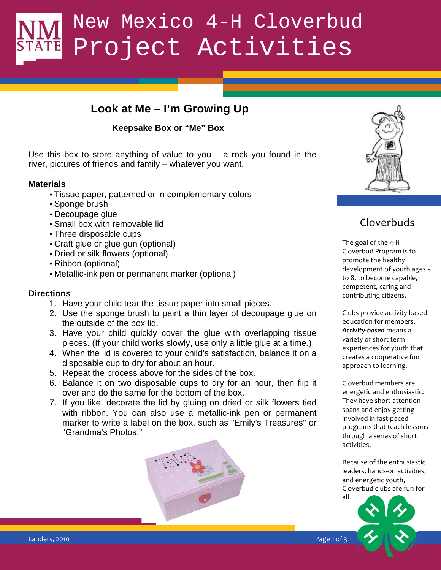### **Look at Me – I'm Growing Up**

#### **Keepsake Box or "Me" Box**

Use this box to store anything of value to you – a rock you found in the river, pictures of friends and family – whatever you want.

#### **Materials**

- Tissue paper, patterned or in complementary colors
- Sponge brush
- Decoupage glue
- Small box with removable lid
- Three disposable cups
- Craft glue or glue gun (optional)
- Dried or silk flowers (optional)
- Ribbon (optional)
- Metallic-ink pen or permanent marker (optional)

#### **Directions**

- 1. Have your child tear the tissue paper into small pieces.
- 2. Use the sponge brush to paint a thin layer of decoupage glue on the outside of the box lid.
- 3. Have your child quickly cover the glue with overlapping tissue pieces. (If your child works slowly, use only a little glue at a time.)
- 4. When the lid is covered to your child's satisfaction, balance it on a disposable cup to dry for about an hour.
- 5. Repeat the process above for the sides of the box.
- 6. Balance it on two disposable cups to dry for an hour, then flip it over and do the same for the bottom of the box.
- 7. If you like, decorate the lid by gluing on dried or silk flowers tied with ribbon. You can also use a metallic-ink pen or permanent marker to write a label on the box, such as "Emily's Treasures" or "Grandma's Photos."





## Cloverbuds

 $\mathcal{L}$  compatent The goal of the 4-H Cloverbud Program is to promote the healthy development of youth ages 5 to 8, to become capable, competent, caring and contributing citizens.

> Clubs provide activity-based education for members. Activity-based means a variety of short term experiences for youth that creates a cooperative fun approach to learning.

Cloverbud members are energetic and enthusiastic. They have short attention spans and enjoy getting involved in fast-paced programs that teach lessons through a series of short activities.

Because of the enthusiastic leaders, hands-on activities, and energetic youth, Cloverbud clubs are fun for



Landers, 2010 **Page 1 of 3** (2010) 12 (2011 12:30 Page 1 of 3 (2011 12:30 Page 1 of 3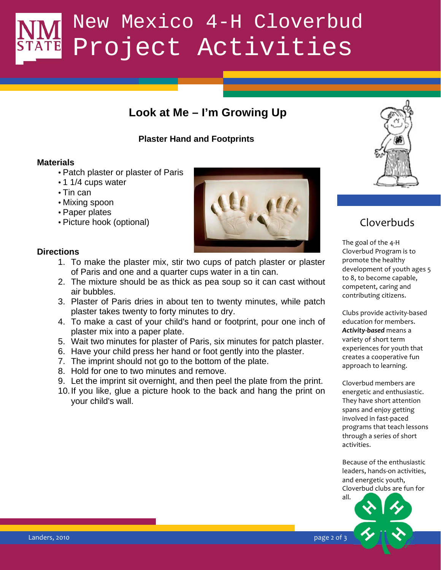## **Look at Me – I'm Growing Up**

#### **Plaster Hand and Footprints**

#### **Materials**

- Patch plaster or plaster of Paris
- 1 1/4 cups water
- Tin can
- Mixing spoon
- Paper plates
- Picture hook (optional)

#### **Directions**

- 1. To make the plaster mix, stir two cups of patch plaster or plaster of Paris and one and a quarter cups water in a tin can.
- 2. The mixture should be as thick as pea soup so it can cast without  $\frac{100,000}{2}$ air bubbles.
- 3. Plaster of Paris dries in about ten to twenty minutes, while patch plaster takes twenty to forty minutes to dry.
- 4. To make a cast of your child's hand or footprint, pour one inch of plaster mix into a paper plate.
- 5. Wait two minutes for plaster of Paris, six minutes for patch plaster.
- 6. Have your child press her hand or foot gently into the plaster.
- 7. The imprint should not go to the bottom of the plate.
- 8. Hold for one to two minutes and remove.
- 9. Let the imprint sit overnight, and then peel the plate from the print.
	- 10. If you like, glue a picture hook to the back and hang the print on your child's wall.



## Cloverbuds

The goal of the 4-H Cloverbud Program is to promote the healthy development of youth ages 5 to 8, to become capable, competent, caring and contributing citizens.

Clubs provide activity-based education for members. Activity-based means a variety of short term experiences for youth that creates a cooperative fun approach to learning.

Cloverbud members are energetic and enthusiastic. They have short attention spans and enjoy getting involved in fast-paced programs that teach lessons through a series of short activities.

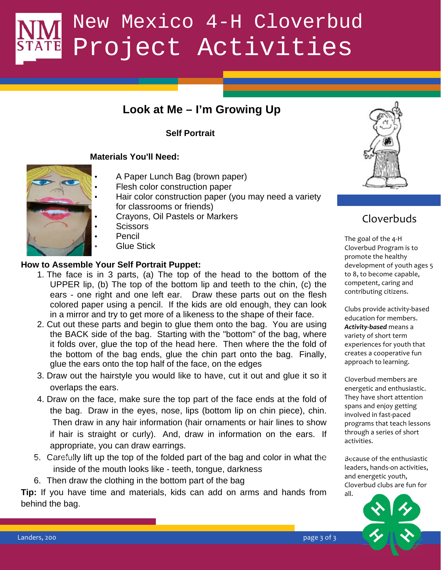### **Look at Me – I'm Growing Up**

#### **Self Portrait**

#### **Materials You'll Need:**

- 
- A Paper Lunch Bag (brown paper)
- Flesh color construction paper
- Hair color construction paper (you may need a variety for classrooms or friends)
- Crayons, Oil Pastels or Markers
- Scissors
- **Pencil**
- **Glue Stick**

#### **How to Assemble Your Self Portrait Puppet:**

- UPPER lip, (b) The top of the bottom lip and teeth to the chin, (c) the  $\blacksquare$  competent, 1. The face is in 3 parts, (a) The top of the head to the bottom of the ears - one right and one left ear. Draw these parts out on the flesh colored paper using a pencil. If the kids are old enough, they can look in a mirror and try to get more of a likeness to the shape of their face.
- 2. Cut out these parts and begin to glue them onto the bag. You are using the BACK side of the bag. Starting with the "bottom" of the bag, where it folds over, glue the top of the head here. Then where the the fold of the bottom of the bag ends, glue the chin part onto the bag. Finally, glue the ears onto the top half of the face, on the edges
- overlaps the ears. The state of the state of the state of the state of the state of the state of the state of the state of the state of the state of the state of the state of the state of the state of the state of the stat 3. Draw out the hairstyle you would like to have, cut it out and glue it so it
	- 4. Draw on the face, make sure the top part of the face ends at the fold of the bag. Draw in the eyes, nose, lips (bottom lip on chin piece), chin. Then draw in any hair information (hair ornaments or hair lines to show if hair is straight or curly). And, draw in information on the ears. If appropriate, you can draw earrings.
	- 5. Carefully lift up the top of the folded part of the bag and color in what the  $B_6$ inside of the mouth looks like - teeth, tongue, darkness
	- 6. Then draw the clothing in the bottom part of the bag

**Tip:** If you have time and materials, kids can add on arms and hands from behind the bag.



## Cloverbuds

The goal of the 4-H Cloverbud Program is to promote the healthy development of youth ages 5 to 8, to become capable, competent, caring and contributing citizens.

Clubs provide activity-based education for members. **Activity-based** means a variety of short term experiences for youth that creates a cooperative fun approach to learning.

Cloverbud members are energetic and enthusiastic. They have short attention spans and enjoy getting involved in fast-paced programs that teach lessons through a series of short activities.

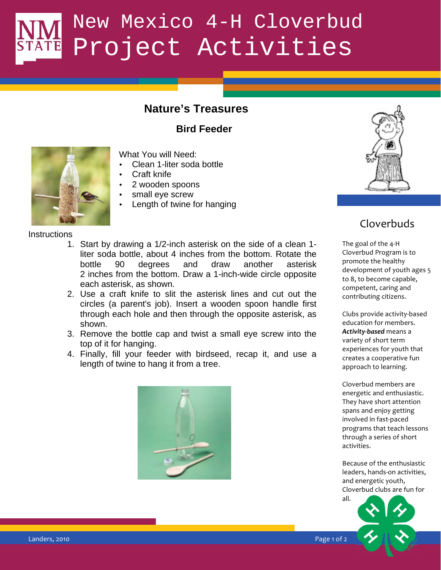### **Nature's Treasures**

**Bird Feeder** 



What You will Need:

- Clean 1-liter soda bottle
- Craft knife
- 2 wooden spoons
- small eye screw
- Length of twine for hanging



## Cloverbuds

The goal of the 4-H Cloverbud Program is to promote the healthy development of youth ages 5 to 8, to become capable, competent, caring and contributing citizens.

Clubs provide activity-based education for members. **Activity-based** means a variety of short term experiences for youth that creates a cooperative fun approach to learning.

Cloverbud members are energetic and enthusiastic. They have short attention spans and enjoy getting involved in fast-paced programs that teach lessons through a series of short activities.

Because of the enthusiastic leaders, hands-on activities, and energetic youth, Cloverbud clubs are fun for



**Instructions** 

- each asterisk, as shown. The state of the state of the state of the state of the state of the state of the state of the state of the state of the state of the state of the state of the state of the state of the state of th 1. Start by drawing a 1/2-inch asterisk on the side of a clean 1 liter soda bottle, about 4 inches from the bottom. Rotate the bottle 90 degrees and draw another asterisk 2 inches from the bottom. Draw a 1-inch-wide circle opposite
	- 2. Use a craft knife to slit the asterisk lines and cut out the circles (a parent's job). Insert a wooden spoon handle first through each hole and then through the opposite asterisk, as shown.
	- 3. Remove the bottle cap and twist a small eye screw into the top of it for hanging.
	- 4. Finally, fill your feeder with birdseed, recap it, and use a length of twine to hang it from a tree.

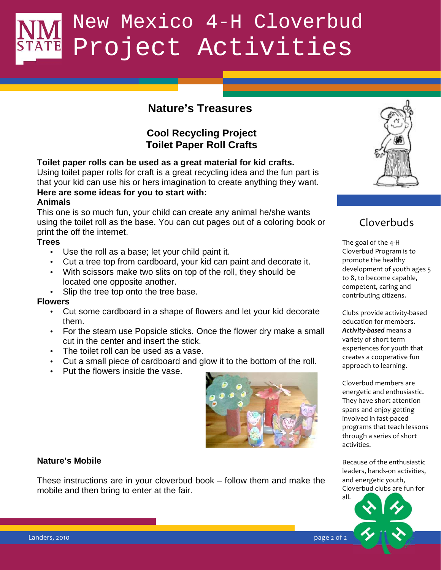### **Nature's Treasures**

#### **Cool Recycling Project Toilet Paper Roll Crafts**

**Toilet paper rolls can be used as a great material for kid crafts.** 

Using toilet paper rolls for craft is a great recycling idea and the fun part is that your kid can use his or hers imagination to create anything they want. **Here are some ideas for you to start with:** 

#### **Animals**

This one is so much fun, your child can create any animal he/she wants using the toilet roll as the base. You can cut pages out of a coloring book or print the off the internet.

#### **Trees**

- Use the roll as a base; let your child paint it.
- Cut a tree top from cardboard, your kid can paint and decorate it.
- located one opposite another. • With scissors make two slits on top of the roll, they should be
- Slip the tree top onto the tree base.

#### **Flowers**

- Cut some cardboard in a shape of flowers and let your kid decorate them.
- For the steam use Popsicle sticks. Once the flower dry make a small cut in the center and insert the stick.
- The toilet roll can be used as a vase.
- Cut a small piece of cardboard and glow it to the bottom of the roll.
- Put the flowers inside the vase.



#### **Nature's Mobile**   $\frac{1}{100}$

These instructions are in your cloverbud book – follow them and make the mobile and then bring to enter at the fair.



## Cloverbuds

The goal of the 4-H Cloverbud Program is to promote the healthy development of youth ages 5 to 8, to become capable, competent, caring and contributing citizens.

Clubs provide activity-based education for members. Activity-based means a variety of short term experiences for youth that creates a cooperative fun approach to learning.

Cloverbud members are energetic and enthusiastic. They have short attention spans and enjoy getting involved in fast-paced programs that teach lessons through a series of short activities.

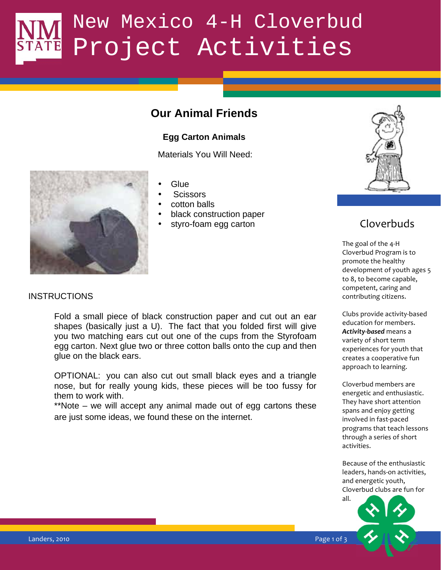### **Our Animal Friends**

#### **Egg Carton Animals**

Materials You Will Need:



#### • Glue

- Scissors
- cotton balls
- black construction paper
- styro-foam egg carton



## Cloverbuds

 $\frac{1}{2}$   $\frac{1}{2}$   $\frac{1}{2}$   $\frac{1}{2}$   $\frac{1}{2}$   $\frac{1}{2}$   $\frac{1}{2}$   $\frac{1}{2}$   $\frac{1}{2}$   $\frac{1}{2}$   $\frac{1}{2}$   $\frac{1}{2}$   $\frac{1}{2}$   $\frac{1}{2}$   $\frac{1}{2}$   $\frac{1}{2}$   $\frac{1}{2}$   $\frac{1}{2}$   $\frac{1}{2}$   $\frac{1}{2}$   $\frac{1}{2}$   $\frac{1}{2}$  The goal of the 4-H Cloverbud Program is to promote the healthy development of youth ages 5 to 8, to become capable, competent, caring and contributing citizens.

> Clubs provide activity-based education for members. **Activity-based** means a variety of short term experiences for youth that creates a cooperative fun approach to learning.

Cloverbud members are energetic and enthusiastic. They have short attention spans and enjoy getting involved in fast-paced programs that teach lessons through a series of short activities.

Because of the enthusiastic leaders, hands-on activities, and energetic youth, Cloverbud clubs are fun for



#### **INSTRUCTIONS**

Fold a small piece of black construction paper and cut out an ear shapes (basically just a U). The fact that you folded first will give you two matching ears cut out one of the cups from the Styrofoam egg carton. Next glue two or three cotton balls onto the cup and then glue on the black ears.

OPTIONAL: you can also cut out small black eyes and a triangle nose, but for really young kids, these pieces will be too fussy for them to work with.

\*\*Note – we will accept any animal made out of egg cartons these are just some ideas, we found these on the internet.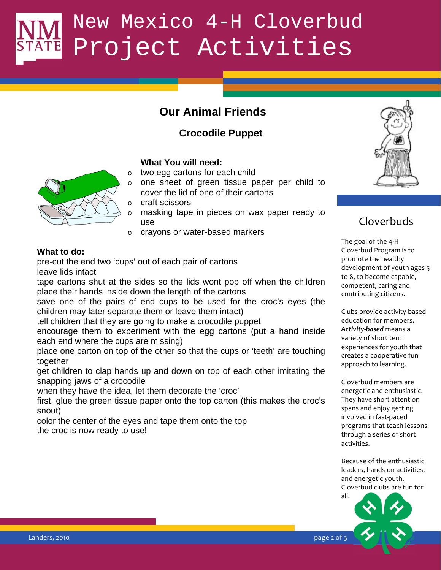## **Our Animal Friends**

### **Crocodile Puppet**

#### **What You will need:**

- o two egg cartons for each child
- o one sheet of green tissue paper per child to cover the lid of one of their cartons
- o craft scissors
- o masking tape in pieces on wax paper ready to use
- o crayons or water-based markers

#### **What to do:**

pre-cut the end two 'cups' out of each pair of cartons leave lids intact

tape cartons shut at the sides so the lids wont pop off when the children  $\frac{1000,0000}{\text{competent}}$ place their hands inside down the length of the cartons

save one of the pairs of end cups to be used for the croc's eyes (the children may later separate them or leave them intact)

tell children that they are going to make a crocodile puppet

encourage them to experiment with the egg cartons (put a hand inside each end where the cups are missing)

place one carton on top of the other so that the cups or 'teeth' are touching together

snapping jaws of a crocodile get children to clap hands up and down on top of each other imitating the

when they have the idea, let them decorate the 'croc'

first, glue the green tissue paper onto the top carton (this makes the croc's snout)

color the center of the eyes and tape them onto the top the croc is now ready to use!



## Cloverbuds

The goal of the 4-H Cloverbud Program is to promote the healthy development of youth ages 5 to 8, to become capable, competent, caring and contributing citizens.

Clubs provide activity-based education for members. **Activity-based** means a variety of short term experiences for youth that creates a cooperative fun approach to learning.

Cloverbud members are energetic and enthusiastic. They have short attention spans and enjoy getting involved in fast-paced programs that teach lessons through a series of short activities.

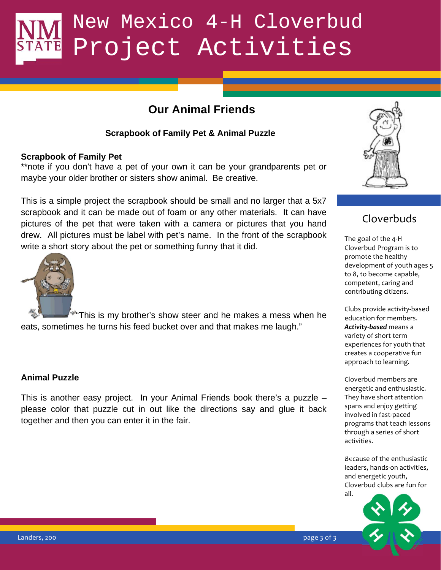## **Our Animal Friends**

#### **Scrapbook of Family Pet & Animal Puzzle**

#### **Scrapbook of Family Pet**

\*\*note if you don't have a pet of your own it can be your grandparents pet or maybe your older brother or sisters show animal. Be creative.

This is a simple project the scrapbook should be small and no larger that a 5x7 scrapbook and it can be made out of foam or any other materials. It can have pictures of the pet that were taken with a camera or pictures that you hand drew. All pictures must be label with pet's name. In the front of the scrapbook write a short story about the pet or something funny that it did.



"This is my brother's show steer and he makes a mess when he eats, sometimes he turns his feed bucket over and that makes me laugh."

#### **Animal Puzzle**

This is another easy project. In your Animal Friends book there's a puzzle – please color that puzzle cut in out like the directions say and glue it back together and then you can enter it in the fair.



### Cloverbuds

\$"#" \$
& The goal of the 4-H Cloverbud Program is to promote the healthy development of youth ages 5 to 8, to become capable, competent, caring and contributing citizens.

> Clubs provide activity-based education for members. **Activity-based** means a variety of short term experiences for youth that creates a cooperative fun approach to learning.

Cloverbud members are energetic and enthusiastic. They have short attention spans and enjoy getting involved in fast-paced programs that teach lessons through a series of short activities.

Because of the enthusiastic leaders, hands-on activities, and energetic youth, Cloverbud clubs are fun for all.  $\mathbf{B}$  and  $\mathbf{B}$  and  $\mathbf{B}$  and  $\mathbf{B}$  and  $\mathbf{B}$  and  $\mathbf{B}$  and  $\mathbf{B}$  and  $\mathbf{B}$  and  $\mathbf{B}$  and  $\mathbf{B}$  and  $\mathbf{B}$  and  $\mathbf{B}$  and  $\mathbf{B}$  and  $\mathbf{B}$  and  $\mathbf{B}$  and  $\mathbf{B}$  and  $\mathbf{B}$  and

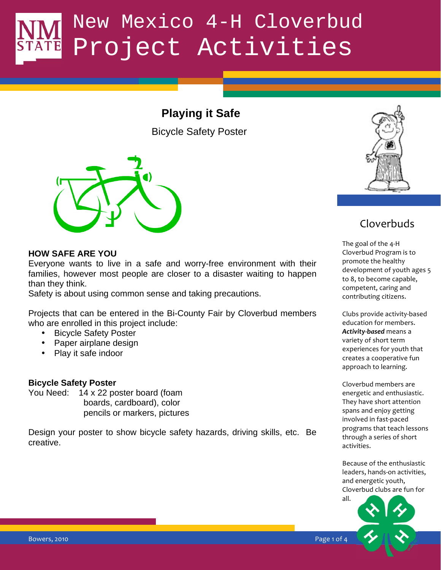## **Playing it Safe**

Bicycle Safety Poster



#### **HOW SAFE ARE YOU**

 $\mathsf{y}$  think. Everyone wants to live in a safe and worry-free environment with their families, however most people are closer to a disaster waiting to happen than they think.

Safety is about using common sense and taking precautions.

Projects that can be entered in the Bi-County Fair by Cloverbud members who are enrolled in this project include:

- Bicycle Safety Poster
- Paper airplane design
- Play it safe indoor

#### **Bicycle Safety Poster**

You Need: 14 x 22 poster board (foam boards, cardboard), color pencils or markers, pictures

Design your poster to show bicycle safety hazards, driving skills, etc. Be creative.



### Cloverbuds

The goal of the 4-H Cloverbud Program is to promote the healthy development of youth ages 5 to 8, to become capable, competent, caring and contributing citizens.

Clubs provide activity-based education for members. **Activity-based** means a variety of short term experiences for youth that creates a cooperative fun approach to learning.

Cloverbud members are energetic and enthusiastic. They have short attention spans and enjoy getting involved in fast-paced programs that teach lessons through a series of short activities.

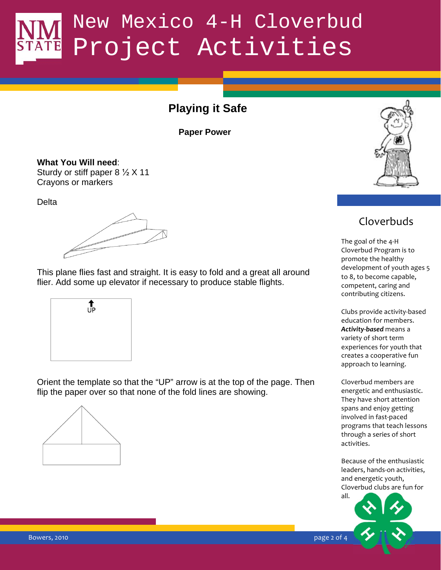## **Playing it Safe**

**Paper Power** 

**What You Will need**: Sturdy or stiff paper  $8\frac{1}{2}$  X 11 Crayons or markers

**Delta** 

flier. Add some up elevator if necessary to produce stable flights.  $\frac{1}{\text{component}}$ This plane flies fast and straight. It is easy to fold and a great all around



Orient the template so that the "UP" arrow is at the top of the page. Then flip the paper over so that none of the fold lines are showing.





### Cloverbuds

The goal of the 4-H Cloverbud Program is to promote the healthy development of youth ages 5 to 8, to become capable, competent, caring and contributing citizens.

Clubs provide activity-based education for members. **Activity-based** means a variety of short term experiences for youth that creates a cooperative fun approach to learning.

Cloverbud members are energetic and enthusiastic. They have short attention spans and enjoy getting involved in fast-paced programs that teach lessons through a series of short activities.

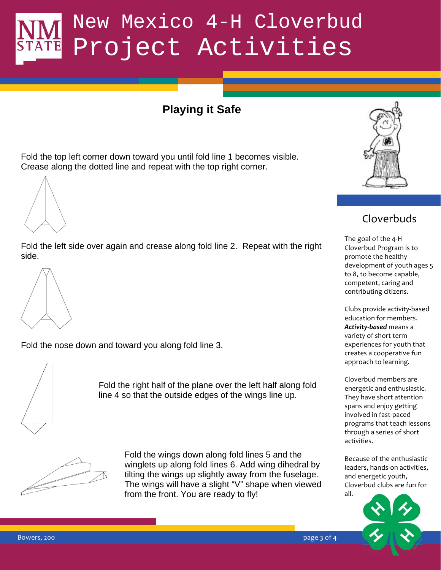## **Playing it Safe**

Fold the top left corner down toward you until fold line 1 becomes visible. Crease along the dotted line and repeat with the top right corner.

Fold the left side over again and crease along fold line 2. Repeat with the right side.



Fold the nose down and toward you along fold line 3.



Fold the right half of the plane over the left half along fold line 4 so that the outside edges of the wings line up.



Fold the wings down along fold lines 5 and the winglets up along fold lines 6. Add wing dihedral by tilting the wings up slightly away from the fuselage. The wings will have a slight "V" shape when viewed from the front. You are ready to fly!



### Cloverbuds

 $\blacksquare$  . The competent of the competent of the competent  $\blacksquare$ The goal of the 4-H Cloverbud Program is to promote the healthy development of youth ages 5 to 8, to become capable, competent, caring and contributing citizens.

> Clubs provide activity-based education for members. **Activity-based** means a variety of short term experiences for youth that creates a cooperative fun approach to learning.

Cloverbud members are energetic and enthusiastic. They have short attention spans and enjoy getting involved in fast-paced programs that teach lessons through a series of short activities.

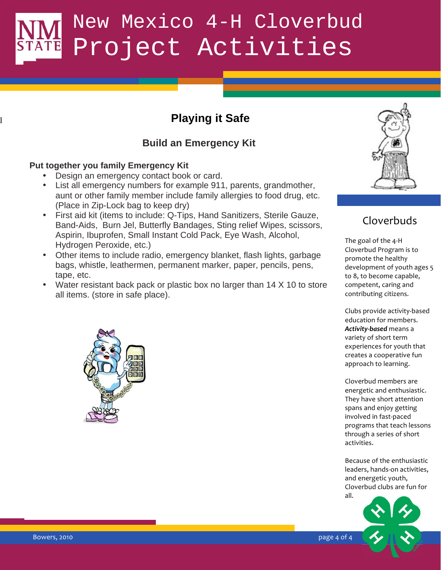## **Playing it Safe**

### **Build an Emergency Kit**

#### **Put together you family Emergency Kit**

l

- Design an emergency contact book or card.
- List all emergency numbers for example 911, parents, grandmother, aunt or other family member include family allergies to food drug, etc. (Place in Zip-Lock bag to keep dry)
- First aid kit (items to include: Q-Tips, Hand Sanitizers, Sterile Gauze, Band-Aids, Burn Jel, Butterfly Bandages, Sting relief Wipes, scissors, Aspirin, Ibuprofen, Small Instant Cold Pack, Eye Wash, Alcohol, Hydrogen Peroxide, etc.)
- Other items to include radio, emergency blanket, flash lights, garbage bags, whistle, leathermen, permanent marker, paper, pencils, pens, tape, etc.
- Water resistant back pack or plastic box no larger than 14 X 10 to store competent all items. (store in safe place).





## Cloverbuds

The goal of the 4-H Cloverbud Program is to promote the healthy development of youth ages 5 to 8, to become capable, competent, caring and contributing citizens.

Clubs provide activity-based education for members. **Activity-based** means a variety of short term experiences for youth that creates a cooperative fun approach to learning.

Cloverbud members are energetic and enthusiastic. They have short attention spans and enjoy getting involved in fast-paced programs that teach lessons through a series of short activities.

Because of the enthusiastic leaders, hands-on activities, and energetic youth, Cloverbud clubs are fun for all.



Bowers, 2010  %#\$# '
'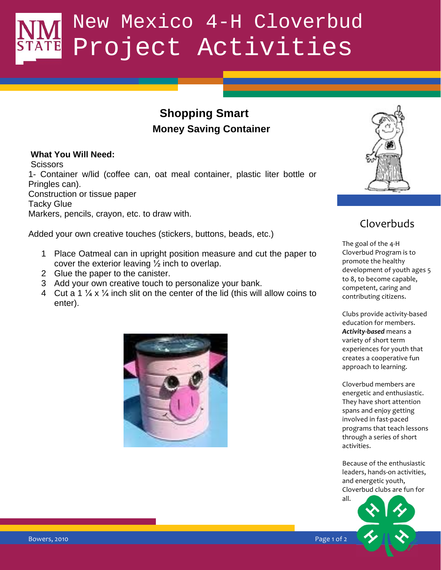## **Shopping Smart Money Saving Container**

#### **What You Will Need:**

**Scissors** 1- Container w/lid (coffee can, oat meal container, plastic liter bottle or Pringles can). Construction or tissue paper Tacky Glue Markers, pencils, crayon, etc. to draw with.

Added your own creative touches (stickers, buttons, beads, etc.)

- 1 Place Oatmeal can in upright position measure and cut the paper to cover the exterior leaving  $\frac{1}{2}$  inch to overlap.
- 2 Glue the paper to the canister.
- 3 Add your own creative touch to personalize your bank.
- 4 Cut a 1  $\frac{1}{4}$  x  $\frac{1}{4}$  inch slit on the center of the lid (this will allow coins to enter).





### Cloverbuds

The goal of the 4-H Cloverbud Program is to promote the healthy development of youth ages 5 to 8, to become capable, competent, caring and contributing citizens.

Clubs provide activity-based education for members. **Activity-based** means a variety of short term experiences for youth that creates a cooperative fun approach to learning.

Cloverbud members are energetic and enthusiastic. They have short attention spans and enjoy getting involved in fast-paced programs that teach lessons through a series of short activities.

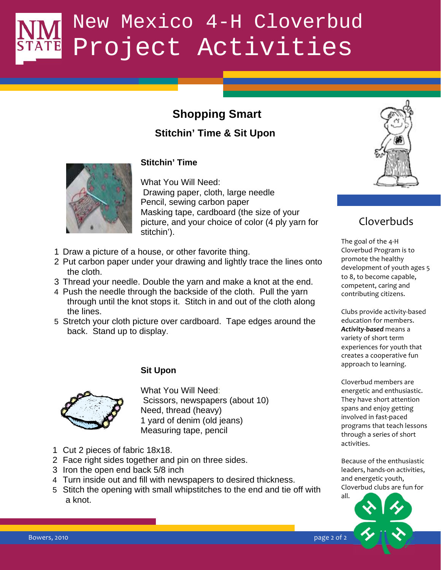## **Shopping Smart**

### **Stitchin' Time & Sit Upon**



#### **Stitchin' Time**

What You Will Need: Drawing paper, cloth, large needle Pencil, sewing carbon paper Masking tape, cardboard (the size of your picture, and your choice of color (4 ply yarn for stitchin').

- 1 Draw a picture of a house, or other favorite thing.
- 2 Put carbon paper under your drawing and lightly trace the lines onto the cloth.
- 3 Thread your needle. Double the yarn and make a knot at the end.  $\frac{1}{1000}$  competent.
- 4 Push the needle through the backside of the cloth. Pull the yarn through until the knot stops it. Stitch in and out of the cloth along the lines.
- 5 Stretch your cloth picture over cardboard. Tape edges around the back. Stand up to display.



**Sit Upon** 

What You Will Need: Scissors, newspapers (about 10) Need, thread (heavy) 1 yard of denim (old jeans) Measuring tape, pencil

- 1 Cut 2 pieces of fabric 18x18.
- 2 Face right sides together and pin on three sides.
- 3 Iron the open end back 5/8 inch
- 4 Turn inside out and fill with newspapers to desired thickness.
- 5 Stitch the opening with small whipstitches to the end and tie off with a knot.



## Cloverbuds

The goal of the 4-H Cloverbud Program is to promote the healthy development of youth ages 5 to 8, to become capable, competent, caring and contributing citizens.

Clubs provide activity-based education for members. **Activity-based** means a variety of short term experiences for youth that creates a cooperative fun approach to learning.

Cloverbud members are energetic and enthusiastic. They have short attention spans and enjoy getting involved in fast-paced programs that teach lessons through a series of short activities.

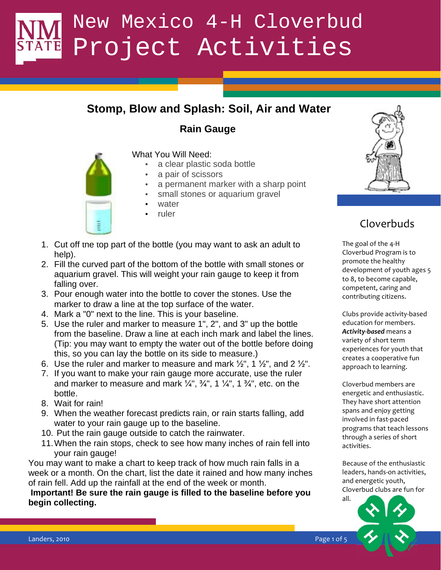## **Stomp, Blow and Splash: Soil, Air and Water**

### **Rain Gauge**



#### What You Will Need:

- a clear plastic soda bottle
- a pair of scissors
- a permanent marker with a sharp point
- small stones or aquarium gravel
- water
- ruler
- 1. Cut off the top part of the bottle (you may want to ask an adult to help).
- \$"#" \$
% falling over. 2. Fill the curved part of the bottom of the bottle with small stones or aquarium gravel. This will weight your rain gauge to keep it from
- 3. Pour enough water into the bottle to cover the stones. Use the marker to draw a line at the top surface of the water.
- 4. Mark a "0" next to the line. This is your baseline.
- 5. Use the ruler and marker to measure 1", 2", and 3" up the bottle from the baseline. Draw a line at each inch mark and label the lines. (Tip: you may want to empty the water out of the bottle before doing this, so you can lay the bottle on its side to measure.)
- 6. Use the ruler and marker to measure and mark  $\frac{1}{2}$ , 1  $\frac{1}{2}$ , and 2  $\frac{1}{2}$ .
- 7. If you want to make your rain gauge more accurate, use the ruler and marker to measure and mark  $\frac{1}{4}$ ,  $\frac{3}{4}$ , 1  $\frac{1}{4}$ , 1  $\frac{3}{4}$ , etc. on the bottle.
- 8. Wait for rain!
- 9. When the weather forecast predicts rain, or rain starts falling, add water to your rain gauge up to the baseline.
- 10. Put the rain gauge outside to catch the rainwater.
- 11. When the rain stops, check to see how many inches of rain fell into your rain gauge!

You may want to make a chart to keep track of how much rain falls in a week or a month. On the chart, list the date it rained and how many inches of rain fell. Add up the rainfall at the end of the week or month.

**Important! Be sure the rain gauge is filled to the baseline before you begin collecting.** 



## Cloverbuds

The goal of the 4-H Cloverbud Program is to promote the healthy development of youth ages 5 to 8, to become capable, competent, caring and contributing citizens.

Clubs provide activity-based education for members. **Activity-based** means a variety of short term experiences for youth that creates a cooperative fun approach to learning.

Cloverbud members are energetic and enthusiastic. They have short attention spans and enjoy getting involved in fast-paced programs that teach lessons through a series of short activities.

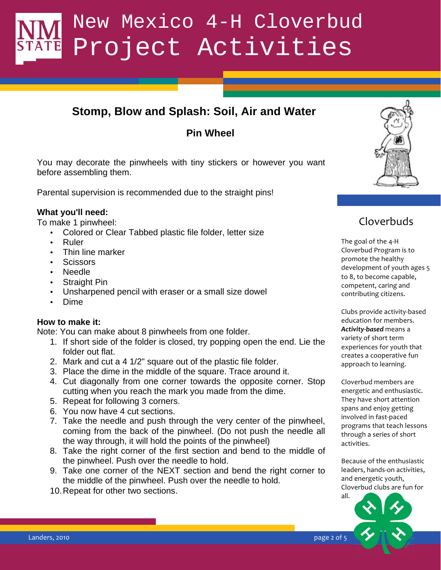## **Stomp, Blow and Splash: Soil, Air and Water**

### **Pin Wheel**

You may decorate the pinwheels with tiny stickers or however you want before assembling them.

Parental supervision is recommended due to the straight pins!

#### **What you'll need:**

To make 1 pinwheel:

- Colored or Clear Tabbed plastic file folder, letter size
- Ruler
- Thin line marker
- Scissors
- Needle
- **Straight Pin**
- Unsharpened pencil with eraser or a small size dowel
- Dime

#### **How to make it:**

Note: You can make about 8 pinwheels from one folder.

- 1. If short side of the folder is closed, try popping open the end. Lie the folder out flat.
- 2. Mark and cut a 4 1/2" square out of the plastic file folder.
- 3. Place the dime in the middle of the square. Trace around it.
- 4. Cut diagonally from one corner towards the opposite corner. Stop cutting when you reach the mark you made from the dime.
	- 5. Repeat for following 3 corners.
	- 6. You now have 4 cut sections.
	- 7. Take the needle and push through the very center of the pinwheel, coming from the back of the pinwheel. (Do not push the needle all the way through, it will hold the points of the pinwheel)
	- 8. Take the right corner of the first section and bend to the middle of the pinwheel. Push over the needle to hold.
	- 9. Take one corner of the NEXT section and bend the right corner to the middle of the pinwheel. Push over the needle to hold.
	- 10. Repeat for other two sections.



### Cloverbuds

Straight Pin the competent, caring and the competent, caring and The goal of the 4-H Cloverbud Program is to promote the healthy development of youth ages 5 to 8, to become capable, contributing citizens.

> Clubs provide activity-based education for members. **Activity-based** means a variety of short term experiences for youth that creates a cooperative fun approach to learning.

Cloverbud members are energetic and enthusiastic. They have short attention spans and enjoy getting involved in fast-paced programs that teach lessons through a series of short activities.

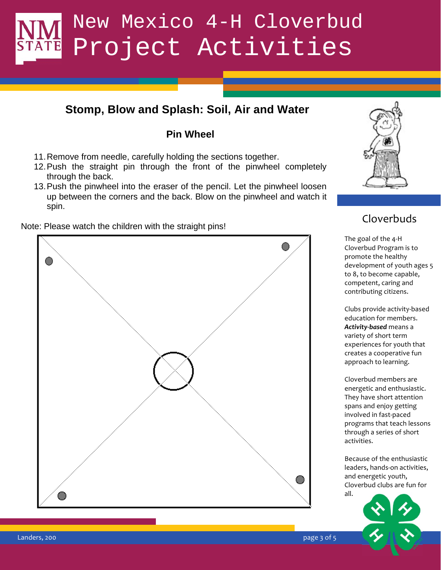## **Stomp, Blow and Splash: Soil, Air and Water**

### **Pin Wheel**

- 11. Remove from needle, carefully holding the sections together.
- 12. Push the straight pin through the front of the pinwheel completely through the back.
- 13. Push the pinwheel into the eraser of the pencil. Let the pinwheel loosen up between the corners and the back. Blow on the pinwheel and watch it spin.

Note: Please watch the children with the straight pins!





## Cloverbuds

The goal of the 4-H Cloverbud Program is to promote the healthy development of youth ages 5 to 8, to become capable, competent, caring and contributing citizens.

Clubs provide activity-based education for members. **Activity-based** means a variety of short term experiences for youth that creates a cooperative fun approach to learning.

Cloverbud members are energetic and enthusiastic. They have short attention spans and enjoy getting involved in fast-paced programs that teach lessons through a series of short activities.

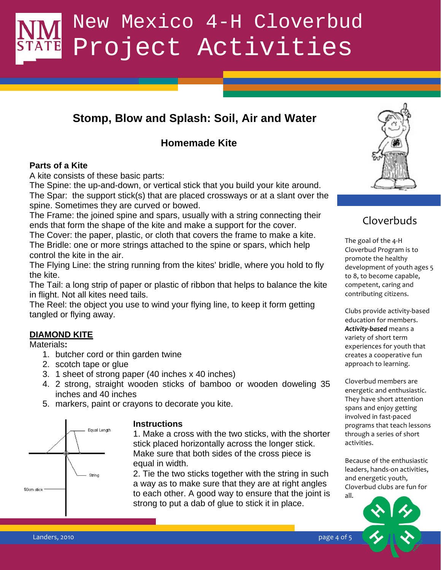## **Stomp, Blow and Splash: Soil, Air and Water**

### **Homemade Kite**

#### **Parts of a Kite**

A kite consists of these basic parts:

The Spine: the up-and-down, or vertical stick that you build your kite around. The Spar: the support stick(s) that are placed crossways or at a slant over the spine. Sometimes they are curved or bowed.

The Frame: the joined spine and spars, usually with a string connecting their ends that form the shape of the kite and make a support for the cover.

The Cover: the paper, plastic, or cloth that covers the frame to make a kite. The Bridle: one or more strings attached to the spine or spars, which help control the kite in the air.

The Flying Line: the string running from the kites' bridle, where you hold to fly the kite.

The Tail: a long strip of paper or plastic of ribbon that helps to balance the kite competent in flight. Not all kites need tails.

The Reel: the object you use to wind your flying line, to keep it form getting tangled or flying away.

#### **DIAMOND KITE**

Materials**:**

- 1. butcher cord or thin garden twine
- 2. scotch tape or glue
- 3. 1 sheet of strong paper (40 inches x 40 inches)
- 4. 2 strong, straight wooden sticks of bamboo or wooden doweling 35 inches and 40 inches
- 5. markers, paint or crayons to decorate you kite.



#### **Instructions**

1. Make a cross with the two sticks, with the shorter stick placed horizontally across the longer stick. Make sure that both sides of the cross piece is equal in width.

2. Tie the two sticks together with the string in such a way as to make sure that they are at right angles to each other. A good way to ensure that the joint is strong to put a dab of glue to stick it in place.



## Cloverbuds

The goal of the 4-H Cloverbud Program is to promote the healthy development of youth ages 5 to 8, to become capable, competent, caring and contributing citizens.

Clubs provide activity-based education for members. **Activity-based** means a variety of short term experiences for youth that creates a cooperative fun approach to learning.

Cloverbud members are energetic and enthusiastic. They have short attention spans and enjoy getting involved in fast-paced programs that teach lessons through a series of short activities.

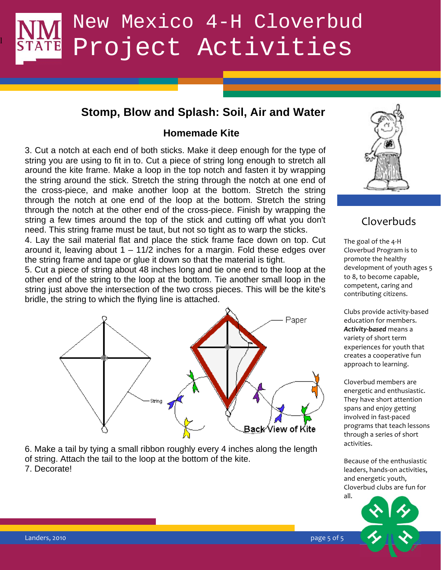### **Stomp, Blow and Splash: Soil, Air and Water**

#### **Homemade Kite**

3. Cut a notch at each end of both sticks. Make it deep enough for the type of string you are using to fit in to. Cut a piece of string long enough to stretch all around the kite frame. Make a loop in the top notch and fasten it by wrapping the string around the stick. Stretch the string through the notch at one end of the cross-piece, and make another loop at the bottom. Stretch the string through the notch at one end of the loop at the bottom. Stretch the string through the notch at the other end of the cross-piece. Finish by wrapping the string a few times around the top of the stick and cutting off what you don't need. This string frame must be taut, but not so tight as to warp the sticks.

4. Lay the sail material flat and place the stick frame face down on top. Cut around it, leaving about  $1 - 11/2$  inches for a margin. Fold these edges over the string frame and tape or glue it down so that the material is tight.

other end of the string to the loop at the bottom. Tie another small loop in the  $\frac{10^{-8}}{20}$  connectent. 5. Cut a piece of string about 48 inches long and tie one end to the loop at the string just above the intersection of the two cross pieces. This will be the kite's bridle, the string to which the flying line is attached.



6. Make a tail by tying a small ribbon roughly every 4 inches along the length of string. Attach the tail to the loop at the bottom of the kite. 7. Decorate!



### Cloverbuds

The goal of the 4-H Cloverbud Program is to promote the healthy development of youth ages 5 to 8, to become capable, competent, caring and contributing citizens.

Clubs provide activity-based education for members. Activity-based means a variety of short term experiences for youth that creates a cooperative fun approach to learning.

Cloverbud members are energetic and enthusiastic. They have short attention spans and enjoy getting involved in fast-paced programs that teach lessons through a series of short activities.

Because of the enthusiastic leaders, hands-on activities, and energetic youth, Cloverbud clubs are fun for all.



l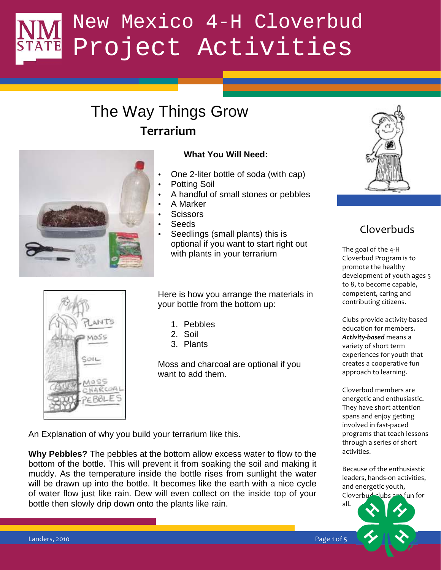## The Way Things Grow **Terrarium**



#### **What You Will Need:**

- One 2-liter bottle of soda (with cap)
- Potting Soil
- A handful of small stones or pebbles
- A Marker
- **Scissors**
- Seeds
- Seedlings (small plants) this is optional if you want to start right out with plants in your terrarium



Here is how you arrange the materials in your bottle from the bottom up:

- 1. Pebbles
- 2. Soil
- 3. Plants

Moss and charcoal are optional if you want to add them.

An Explanation of why you build your terrarium like this.

**Why Pebbles?** The pebbles at the bottom allow excess water to flow to the bottom of the bottle. This will prevent it from soaking the soil and making it muddy. As the temperature inside the bottle rises from sunlight the water will be drawn up into the bottle. It becomes like the earth with a nice cycle of water flow just like rain. Dew will even collect on the inside top of your bottle then slowly drip down onto the plants like rain.



## Cloverbuds

to 8, to become capable, The goal of the 4-H Cloverbud Program is to promote the healthy development of youth ages 5 competent, caring and contributing citizens.

> Clubs provide activity-based education for members. Activity-based means a variety of short term experiences for youth that creates a cooperative fun approach to learning.

Cloverbud members are energetic and enthusiastic. They have short attention spans and enjoy getting involved in fast-paced programs that teach lessons through a series of short activities.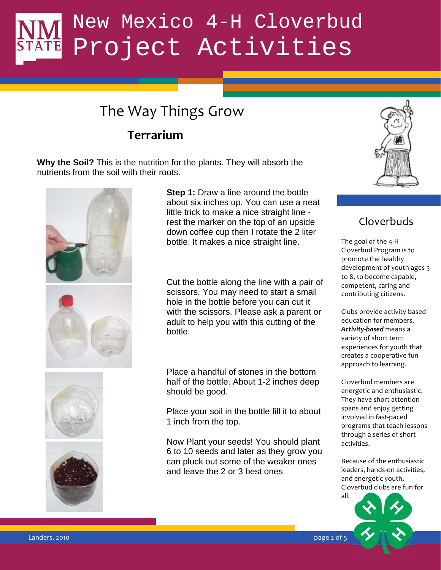## The Way Things Grow

## **Terrarium**

**Why the Soil?** This is the nutrition for the plants. They will absorb the nutrients from the soil with their roots.







**Step 1:** Draw a line around the bottle about six inches up. You can use a neat little trick to make a nice straight line rest the marker on the top of an upside down coffee cup then I rotate the 2 liter bottle. It makes a nice straight line.

**Example 2018** Cut the bottle along the line with a pair of comparison of the line with a pair of comparison of the state of the state of the state of the state of the state of the state of the state of the state of the st scissors. You may need to start a small hole in the bottle before you can cut it with the scissors. Please ask a parent or adult to help you with this cutting of the bottle.

> Place a handful of stones in the bottom half of the bottle. About 1-2 inches deep should be good.

Place your soil in the bottle fill it to about 1 inch from the top.

Now Plant your seeds! You should plant 6 to 10 seeds and later as they grow you can pluck out some of the weaker ones and leave the 2 or 3 best ones.



### Cloverbuds

competent, caring and The goal of the 4-H Cloverbud Program is to promote the healthy development of youth ages 5 to 8, to become capable, contributing citizens.

Clubs provide activity-based education for members. **Activity-based** means a variety of short term experiences for youth that creates a cooperative fun approach to learning.

Cloverbud members are energetic and enthusiastic. They have short attention spans and enjoy getting involved in fast-paced programs that teach lessons through a series of short activities.

Because of the enthusiastic leaders, hands-on activities, and energetic youth, Cloverbud clubs are fun for



Landers, 2010  $\qquad$  ''  $\qquad$ ''  $\qquad$ ''  $\qquad$ ''  $\qquad$ ''  $\qquad$ ''  $\qquad$ ''  $\qquad$ ''  $\qquad$ ''  $\qquad$ ''  $\qquad$ ''  $\qquad$ ''  $\qquad$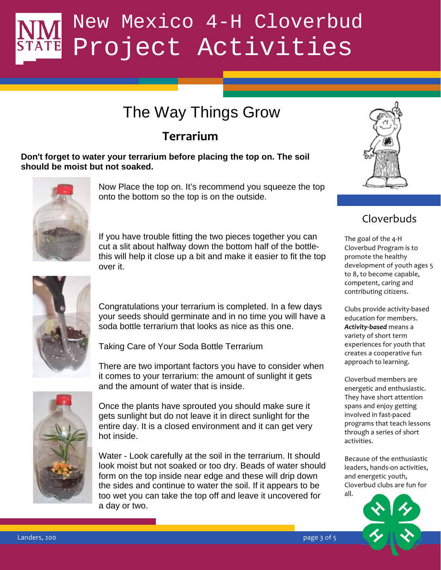## The Way Things Grow

## **Terrarium**

**Don't forget to water your terrarium before placing the top on. The soil should be moist but not soaked.** 



Now Place the top on. It's recommend you squeeze the top onto the bottom so the top is on the outside.

If you have trouble fitting the two pieces together you can cut a slit about halfway down the bottom half of the bottlethis will help it close up a bit and make it easier to fit the top over it.



Congratulations your terrarium is completed. In a few days your seeds should germinate and in no time you will have a soda bottle terrarium that looks as nice as this one.

Taking Care of Your Soda Bottle Terrarium

There are two important factors you have to consider when it comes to your terrarium: the amount of sunlight it gets and the amount of water that is inside.



Once the plants have sprouted you should make sure it gets sunlight but do not leave it in direct sunlight for the entire day. It is a closed environment and it can get very hot inside.

Water - Look carefully at the soil in the terrarium. It should look moist but not soaked or too dry. Beads of water should form on the top inside near edge and these will drip down the sides and continue to water the soil. If it appears to be too wet you can take the top off and leave it uncovered for a day or two.



## Cloverbuds

the state of the state of the state of the state of the state of the state of the state of the state of the state of the state of the state of the state of the state of the state of the state of the state of the state of t The goal of the 4-H Cloverbud Program is to promote the healthy development of youth ages 5 to 8, to become capable, competent, caring and contributing citizens.

> Clubs provide activity-based education for members. **Activity-based** means a variety of short term experiences for youth that creates a cooperative fun approach to learning.

Cloverbud members are energetic and enthusiastic. They have short attention spans and enjoy getting involved in fast-paced programs that teach lessons through a series of short activities.

Because of the enthusiastic leaders, hands-on activities, and energetic youth, Cloverbud clubs are fun for  $all$ 





Landers, 200 https://www.facebook.com/windows/windows/windows/windows/windows/windows/windows/windows/windows/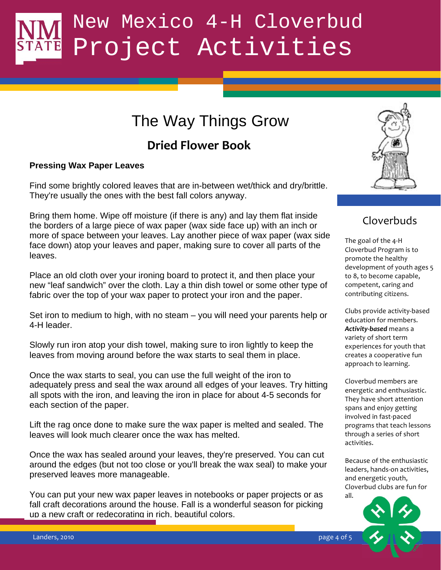## The Way Things Grow

## **Dried Flower Book**

#### **Pressing Wax Paper Leaves**

Find some brightly colored leaves that are in-between wet/thick and dry/brittle. They're usually the ones with the best fall colors anyway.

Bring them home. Wipe off moisture (if there is any) and lay them flat inside the borders of a large piece of wax paper (wax side face up) with an inch or more of space between your leaves. Lay another piece of wax paper (wax side face down) atop your leaves and paper, making sure to cover all parts of the leaves.

new "leaf sandwich" over the cloth. Lay a thin dish towel or some other type of competent, Place an old cloth over your ironing board to protect it, and then place your fabric over the top of your wax paper to protect your iron and the paper.

Set iron to medium to high, with no steam – you will need your parents help or 4-H leader.

Slowly run iron atop your dish towel, making sure to iron lightly to keep the leaves from moving around before the wax starts to seal them in place.

Once the wax starts to seal, you can use the full weight of the iron to adequately press and seal the wax around all edges of your leaves. Try hitting all spots with the iron, and leaving the iron in place for about 4-5 seconds for each section of the paper.

Lift the rag once done to make sure the wax paper is melted and sealed. The leaves will look much clearer once the wax has melted.

Once the wax has sealed around your leaves, they're preserved. You can cut around the edges (but not too close or you'll break the wax seal) to make your preserved leaves more manageable.

You can put your new wax paper leaves in notebooks or paper projects or as fall craft decorations around the house. Fall is a wonderful season for picking up a new craft or redecorating in rich, beautiful colors.



### Cloverbuds

The goal of the 4-H Cloverbud Program is to promote the healthy development of youth ages 5 to 8, to become capable, competent, caring and contributing citizens.

Clubs provide activity-based education for members. **Activity-based** means a variety of short term experiences for youth that creates a cooperative fun approach to learning.

Cloverbud members are energetic and enthusiastic. They have short attention spans and enjoy getting involved in fast-paced programs that teach lessons through a series of short activities.

Because of the enthusiastic leaders, hands-on activities, and energetic youth, Cloverbud clubs are fun for all.



Landers, 2010 **by the United States and States and States and States and States and States and States and States and States and States and States and States and States and States and States and States and States and States**